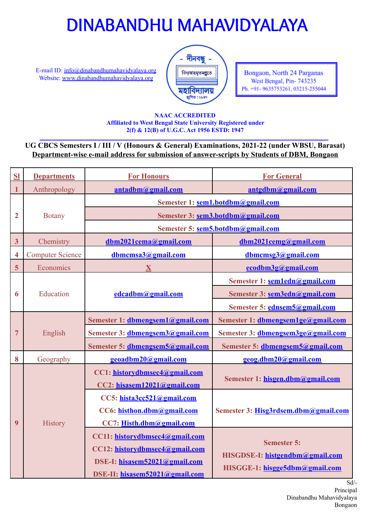E-mail ID: [info@dinabandhumahavidyalaya.org](mailto:info@dinabandhumahavidyalaya.org) Website: [www.dinabandhumahavidyalaya.org](http://www.dinabandhumahavidyalaya.org/)



Bongaon, North 24 Parganas West Bengal, Pin-743235 Ph. +91- 9635753261, 03215-255044

### **NAAC ACCREDITED Affiliated to West Bengal State University Registered under 2(f) & 12(B) of U.G.C. Act 1956 ESTD: 1947**

## **UG CBCS Semesters I / III / V (Honours & General) Examinations, 2021-22 (under WBSU, Barasat) Department-wise e-mail address for submission of answer-scripts by Students of DBM, Bongaon**

| S1                      | <b>Departments</b>      | <b>For Honours</b>                                                                                                                  | <b>For General</b>                                                                      |
|-------------------------|-------------------------|-------------------------------------------------------------------------------------------------------------------------------------|-----------------------------------------------------------------------------------------|
| 1                       | Anthropology            | antadbm@gmail.com                                                                                                                   | antgdbm@gmail.com                                                                       |
|                         | <b>Botany</b>           | Semester 1: sem1.botdbm@gmail.com                                                                                                   |                                                                                         |
| 2                       |                         | Semester 3: sem3.botdbm@gmail.com                                                                                                   |                                                                                         |
|                         |                         | Semester 5: sem5.botdbm@gmail.com                                                                                                   |                                                                                         |
| $\overline{\mathbf{3}}$ | Chemistry               | dbm2021cema@gmail.com                                                                                                               | dbm2021cemg@gmail.com                                                                   |
| 4                       | <b>Computer Science</b> | dbmcmsa3@gmail.com                                                                                                                  | dbmcmsg3@gmail.com                                                                      |
| 5                       | Economics               | $\overline{\mathbf{X}}$                                                                                                             | ecodbm3g@gmail.com                                                                      |
|                         | Education               | edcadbm@gmail.com                                                                                                                   | Semester 1: sem1edn@gmail.com                                                           |
| 6                       |                         |                                                                                                                                     | Semester 3: sem3edn@gmail.com                                                           |
|                         |                         |                                                                                                                                     | Semester 5: ednsem5@gmail.com                                                           |
|                         |                         | Semester 1: dbmengsem1@gmail.com                                                                                                    | Semester 1: dbmengsem1ge@gmail.com                                                      |
| 7                       | English                 | Semester 3: dbmengsem3@gmail.com                                                                                                    | Semester 3: dbmengsem3ge@gmail.com                                                      |
|                         |                         | Semester 5: dbmengsem5@gmail.com                                                                                                    | Semester 5: dbmengsem5@gmail.com                                                        |
| 8                       | Geography               | geoadbm20@gmail.com                                                                                                                 | geog.dbm20@gmail.com                                                                    |
| 9                       | History                 | CC1: historydbmsec4@gmail.com<br>CC2: hisasem12021@gmail.com                                                                        | Semester 1: hisgen.dbm@gmail.com                                                        |
|                         |                         | CC5: hista3cc521@gmail.com<br>CC6: histhon.dbm@gmail.com<br>CC7: Histh.dbm@gmail.com                                                | Semester 3: Hisg3rdsem.dbm@gmail.com                                                    |
|                         |                         | CC11: historydbmsec4@gmail.com<br>CC12: historydbmsec4@gmail.com<br>DSE-I: hisasem52021@gmail.com<br>DSE-II: hisasem52021@gmail.com | <b>Semester 5:</b><br>HISGDSE-I: histgendbm@gmail.com<br>HISGGE-1: hisgge5dbm@gmail.com |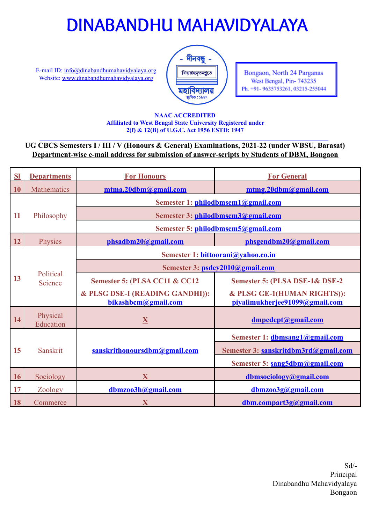E-mail ID: [info@dinabandhumahavidyalaya.org](mailto:info@dinabandhumahavidyalaya.org) Website: [www.dinabandhumahavidyalaya.org](http://www.dinabandhumahavidyalaya.org/)



Bongaon, North 24 Parganas West Bengal, Pin-743235 Ph. +91- 9635753261, 03215-255044

### **NAAC ACCREDITED Affiliated to West Bengal State University Registered under 2(f) & 12(B) of U.G.C. Act 1956 ESTD: 1947**

## **UG CBCS Semesters I / III / V (Honours & General) Examinations, 2021-22 (under WBSU, Barasat) Department-wise e-mail address for submission of answer-scripts by Students of DBM, Bongaon**

| S <sub>1</sub> | <b>Departments</b>    | <b>For Honours</b>                                     | <b>For General</b>                                            |
|----------------|-----------------------|--------------------------------------------------------|---------------------------------------------------------------|
| 10             | <b>Mathematics</b>    | mtma.20dbm@gmail.com                                   | mtmg.20dbm@gmail.com                                          |
|                | Philosophy            | Semester 1: philodbmsem1@gmail.com                     |                                                               |
| 11             |                       | Semester 3: philodbmsem3@gmail.com                     |                                                               |
|                |                       | Semester 5: philodbmsem5@gmail.com                     |                                                               |
| 12             | Physics               | phsadbm20@gmail.com                                    | phsgendbm20@gmail.com                                         |
|                | Political<br>Science  | Semester 1: bittoorani@vahoo.co.in                     |                                                               |
|                |                       | Semester 3: psdey2010@gmail.com                        |                                                               |
| 13             |                       | Semester 5: (PLSA CC11 & CC12                          | Semester 5: (PLSA DSE-1& DSE-2                                |
|                |                       | & PLSG DSE-I (READING GANDHI)):<br>bikashbcm@gmail.com | & PLSG GE-1(HUMAN RIGHTS)):<br>piyalimukherjee91099@gmail.com |
| 14             | Physical<br>Education | X                                                      | dmpedept@gmail.com                                            |
|                | <b>Sanskrit</b>       |                                                        | Semester 1: dbmsang1@gmail.com                                |
| 15             |                       | sanskrithonoursdbm@gmail.com                           | Semester 3: sanskritdbm3rd@gmail.com                          |
|                |                       |                                                        | Semester 5: sang5dbm@gmail.com                                |
| 16             | Sociology             | $\overline{\mathbf{X}}$                                | dbmsociology@gmail.com                                        |
| 17             | Zoology               | dbmzoo3h@gmail.com                                     | dbmzoo3g@gmail.com                                            |
| 18             | Commerce              | $\mathbf X$                                            | dbm.compart3g@gmail.com                                       |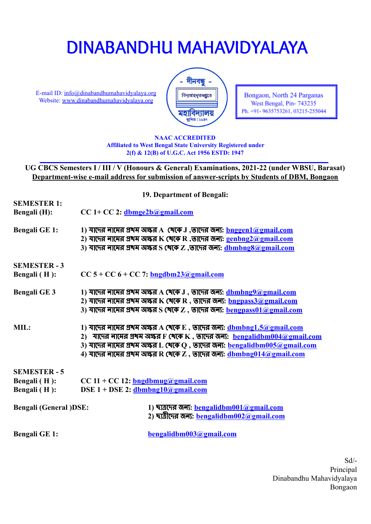E-mail ID: [info@dinabandhumahavidyalaya.org](mailto:info@dinabandhumahavidyalaya.org) Website: [www.dinabandhumahavidyalaya.org](http://www.dinabandhumahavidyalaya.org/)



Bongaon, North 24 Parganas West Bengal, Pin-743235 Ph. +91- 9635753261, 03215-255044

#### **NAAC ACCREDITED Affiliated to West Bengal State University Registered under 2(f) & 12(B) of U.G.C. Act 1956 ESTD: 1947**

**UG CBCS Semesters I / III / V (Honours & General) Examinations, 2021-22 (under WBSU, Barasat) Department-wise e-mail address for submission of answer-scripts by Students of DBM, Bongaon**

| 19. Department of Bengali:    |                                                                                                                                                                               |  |  |  |  |
|-------------------------------|-------------------------------------------------------------------------------------------------------------------------------------------------------------------------------|--|--|--|--|
| <b>SEMESTER 1:</b>            |                                                                                                                                                                               |  |  |  |  |
| <b>Bengali</b> (H):           | $CC 1+ CC 2$ : dbmge2b@gmail.com                                                                                                                                              |  |  |  |  |
| <b>Bengali GE 1:</b>          | $1)$ যাদের লামের প্রখম অক্ষর A থেকে J ,তাদের জন্য: $\frac{\text{longen1@gmail.com}}{\text{longen1@gmail.com}}$                                                                |  |  |  |  |
|                               | 2) শাদের লামের প্রখম অক্ষর K থেকে R ,তাদের জন্য: $genbng2(a)gmail.com$                                                                                                        |  |  |  |  |
|                               | $(3)$ যাদের লামের প্রখম অক্ষর $S$ খেকে $Z$ ,তাদের জন্য: $\underline{\text{dbmbng8}}$ @gmail.com                                                                               |  |  |  |  |
| <b>SEMESTER - 3</b>           |                                                                                                                                                                               |  |  |  |  |
| Bengali (H):                  | $CC 5 + CC 6 + CC 7$ : bngdbm23@gmail.com                                                                                                                                     |  |  |  |  |
| <b>Bengali GE 3</b>           | $1)$ যাদের লামের প্রখম অক্ষর $A$ খেকে $J$ , তাদের জন্য: $\underline{\text{dbmbng9}}$ @gmail.com                                                                               |  |  |  |  |
|                               | $2)$ যাদের লামের প্রখম অক্ষর K থেকে R , তাদের জন্য: $\frac{b$ ngpass $3@$ gmail.com                                                                                           |  |  |  |  |
|                               | $\mathbf 3$ ) শাদের লামের প্রখম অক্ষর $\mathbf S$ (খকে $\mathbf Z$ , তাদের জন্য: $\mathbf b$ engpass $01$ @gmail.com                                                          |  |  |  |  |
| MIL:                          | $1)$ যাদের লামের প্রখম অক্ষর A থেকে E, তাদের জন্য: $d$ bmbng1.5@gmail.com                                                                                                     |  |  |  |  |
|                               | 2) যাদের নামের প্রখম অক্ষর F থেকে K, তাদের জন্য: bengalidbm004@gmail.com                                                                                                      |  |  |  |  |
|                               | $3)$ যাদের লামের প্রখম অক্ষর L খেকে Q , তাদের জন্য: $\frac{\bf bengalidbm005@gmail.com}{\bf 2}$                                                                               |  |  |  |  |
|                               | $\,$ 4) শাদের লামের প্রখম অক্ষর R থেকে Z , তাদের জন্য: $\frac{\mathrm{dbmb} \mathrm{ne014} \textcolor{black}{\textcirc} \textcolor{black}{a\text{pmail.com}}}{\mathrm{domb}}$ |  |  |  |  |
| <b>SEMESTER - 5</b>           |                                                                                                                                                                               |  |  |  |  |
| Bengali (H):                  | $CC 11 + CC 12$ : bngdbmug@gmail.com                                                                                                                                          |  |  |  |  |
| Bengali (H):                  | DSE $1 + DSE$ 2: dbmbng10@gmail.com                                                                                                                                           |  |  |  |  |
|                               |                                                                                                                                                                               |  |  |  |  |
| <b>Bengali (General )DSE:</b> | 1) ছাত্রদের জন্য: bengalidbm001@gmail.com                                                                                                                                     |  |  |  |  |
|                               | 2) ছাত্রীদের জন্য: <u>bengalidbm002@gmail.com</u>                                                                                                                             |  |  |  |  |
| <b>Bengali GE 1:</b>          | bengalidbm003@gmail.com                                                                                                                                                       |  |  |  |  |